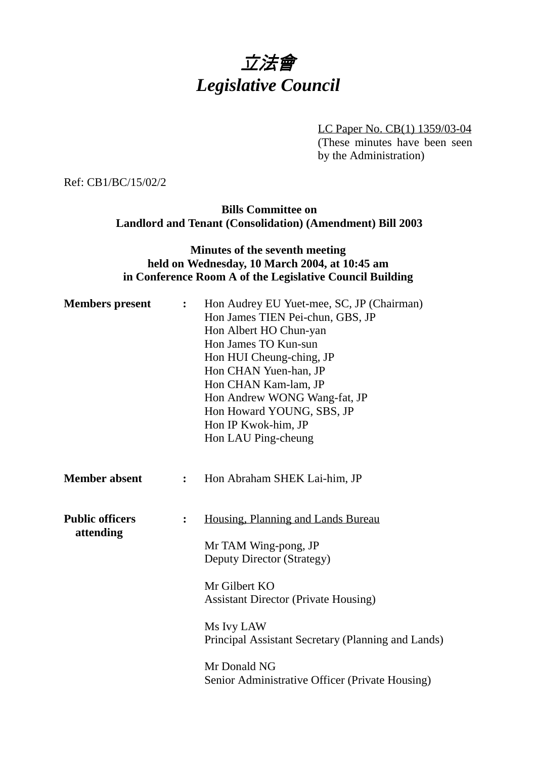# 立法會 *Legislative Council*

LC Paper No. CB(1) 1359/03-04 (These minutes have been seen by the Administration)

Ref: CB1/BC/15/02/2

#### **Bills Committee on Landlord and Tenant (Consolidation) (Amendment) Bill 2003**

# **Minutes of the seventh meeting held on Wednesday, 10 March 2004, at 10:45 am in Conference Room A of the Legislative Council Building**

| <b>Members</b> present              | $\ddot{\cdot}$ | Hon Audrey EU Yuet-mee, SC, JP (Chairman)<br>Hon James TIEN Pei-chun, GBS, JP<br>Hon Albert HO Chun-yan<br>Hon James TO Kun-sun<br>Hon HUI Cheung-ching, JP<br>Hon CHAN Yuen-han, JP<br>Hon CHAN Kam-lam, JP<br>Hon Andrew WONG Wang-fat, JP<br>Hon Howard YOUNG, SBS, JP<br>Hon IP Kwok-him, JP<br>Hon LAU Ping-cheung |
|-------------------------------------|----------------|-------------------------------------------------------------------------------------------------------------------------------------------------------------------------------------------------------------------------------------------------------------------------------------------------------------------------|
| <b>Member absent</b>                | $\ddot{\cdot}$ | Hon Abraham SHEK Lai-him, JP                                                                                                                                                                                                                                                                                            |
| <b>Public officers</b><br>attending | :              | Housing, Planning and Lands Bureau<br>Mr TAM Wing-pong, JP<br><b>Deputy Director (Strategy)</b><br>Mr Gilbert KO<br><b>Assistant Director (Private Housing)</b><br>Ms Ivy LAW<br>Principal Assistant Secretary (Planning and Lands)<br>Mr Donald NG<br>Senior Administrative Officer (Private Housing)                  |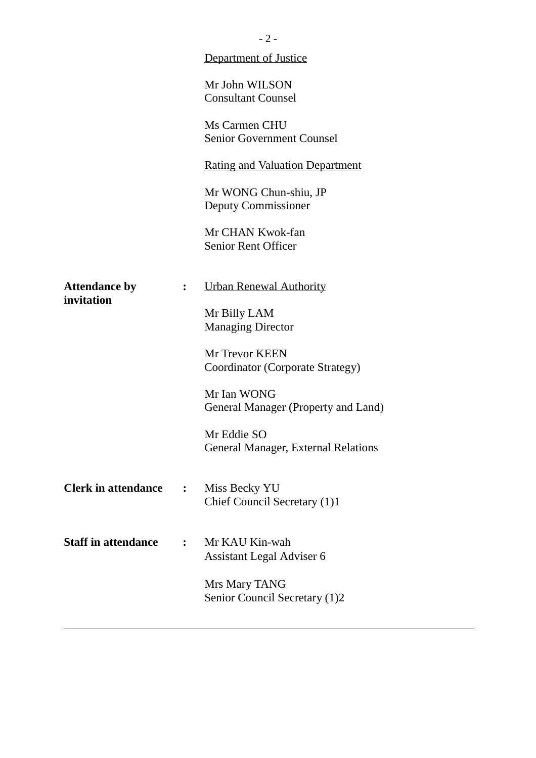|                                    |                  | $-2-$                                              |
|------------------------------------|------------------|----------------------------------------------------|
|                                    |                  | <b>Department of Justice</b>                       |
|                                    |                  | Mr John WILSON<br><b>Consultant Counsel</b>        |
|                                    |                  | Ms Carmen CHU<br><b>Senior Government Counsel</b>  |
|                                    |                  | <b>Rating and Valuation Department</b>             |
|                                    |                  | Mr WONG Chun-shiu, JP<br>Deputy Commissioner       |
|                                    |                  | Mr CHAN Kwok-fan<br><b>Senior Rent Officer</b>     |
| <b>Attendance by</b><br>invitation | $\ddot{\cdot}$   | <b>Urban Renewal Authority</b>                     |
|                                    |                  | Mr Billy LAM<br><b>Managing Director</b>           |
|                                    |                  | Mr Trevor KEEN<br>Coordinator (Corporate Strategy) |
|                                    |                  | Mr Ian WONG<br>General Manager (Property and Land) |
|                                    |                  | Mr Eddie SO<br>General Manager, External Relations |
| <b>Clerk in attendance</b>         | $\ddot{\bullet}$ | Miss Becky YU<br>Chief Council Secretary (1)1      |
| <b>Staff in attendance</b>         | $\ddot{\cdot}$   | Mr KAU Kin-wah<br>Assistant Legal Adviser 6        |
|                                    |                  | Mrs Mary TANG<br>Senior Council Secretary (1)2     |
|                                    |                  |                                                    |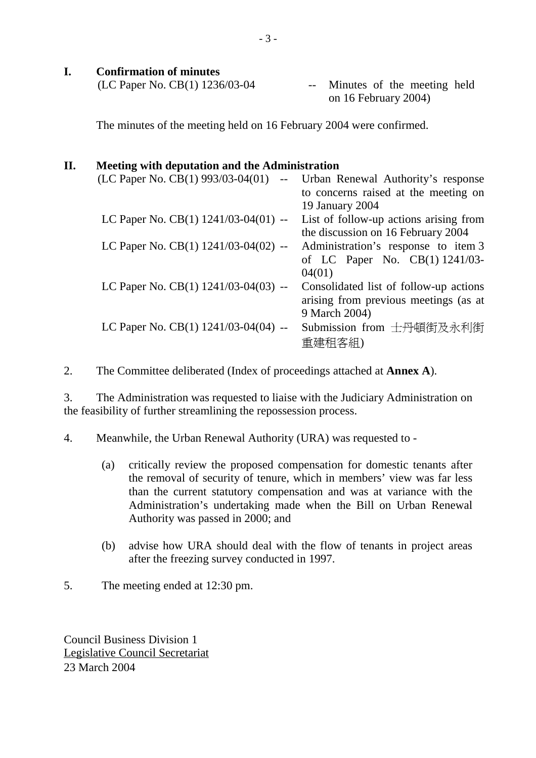### **I. Confirmation of minutes**

| (LC Paper No. CB $(1)$ 1236/03-04 | -- Minutes of the meeting held |
|-----------------------------------|--------------------------------|
|                                   | on 16 February 2004)           |

The minutes of the meeting held on 16 February 2004 were confirmed.

# **II. Meeting with deputation and the Administration**

| (LC Paper No. CB(1) 993/03-04(01)<br>$\mathord{\hspace{1pt}\text{--}\hspace{1pt}}$ | Urban Renewal Authority's response     |
|------------------------------------------------------------------------------------|----------------------------------------|
|                                                                                    | to concerns raised at the meeting on   |
|                                                                                    | 19 January 2004                        |
| LC Paper No. CB(1) $1241/03-04(01)$ --                                             | List of follow-up actions arising from |
|                                                                                    | the discussion on 16 February 2004     |
| LC Paper No. CB(1) $1241/03-04(02)$ --                                             | Administration's response to item 3    |
|                                                                                    | of LC Paper No. CB(1) 1241/03-         |
|                                                                                    | 04(01)                                 |
| LC Paper No. CB(1) 1241/03-04(03) --                                               | Consolidated list of follow-up actions |
|                                                                                    | arising from previous meetings (as at  |
|                                                                                    | 9 March 2004)                          |
| LC Paper No. CB(1) $1241/03-04(04)$ --                                             | Submission from 士丹頓街及永利街               |
|                                                                                    | 重建租客組)                                 |
|                                                                                    |                                        |

2. The Committee deliberated (Index of proceedings attached at **Annex A**).

3. The Administration was requested to liaise with the Judiciary Administration on the feasibility of further streamlining the repossession process.

- 4. Meanwhile, the Urban Renewal Authority (URA) was requested to
	- (a) critically review the proposed compensation for domestic tenants after the removal of security of tenure, which in members' view was far less than the current statutory compensation and was at variance with the Administration's undertaking made when the Bill on Urban Renewal Authority was passed in 2000; and
	- (b) advise how URA should deal with the flow of tenants in project areas after the freezing survey conducted in 1997.
- 5. The meeting ended at 12:30 pm.

Council Business Division 1 Legislative Council Secretariat 23 March 2004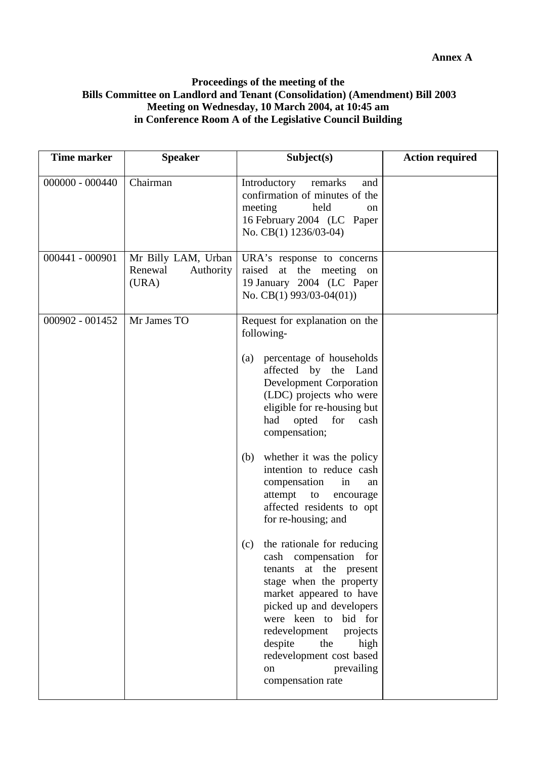#### **Proceedings of the meeting of the Bills Committee on Landlord and Tenant (Consolidation) (Amendment) Bill 2003 Meeting on Wednesday, 10 March 2004, at 10:45 am in Conference Room A of the Legislative Council Building**

| <b>Time marker</b> | <b>Speaker</b>                                       | Subject(s)                                                                                                                                                                                                                                                                                                                    | <b>Action required</b> |
|--------------------|------------------------------------------------------|-------------------------------------------------------------------------------------------------------------------------------------------------------------------------------------------------------------------------------------------------------------------------------------------------------------------------------|------------------------|
| $000000 - 000440$  | Chairman                                             | Introductory<br>remarks<br>and<br>confirmation of minutes of the<br>meeting<br>held<br><sub>on</sub><br>16 February 2004 (LC Paper<br>No. CB(1) 1236/03-04)                                                                                                                                                                   |                        |
| 000441 - 000901    | Mr Billy LAM, Urban<br>Renewal<br>Authority<br>(URA) | URA's response to concerns<br>raised at the meeting on<br>19 January 2004 (LC Paper<br>No. CB(1) $993/03-04(01)$                                                                                                                                                                                                              |                        |
| 000902 - 001452    | Mr James TO                                          | Request for explanation on the<br>following-                                                                                                                                                                                                                                                                                  |                        |
|                    |                                                      | percentage of households<br>(a)<br>affected by the Land<br><b>Development Corporation</b><br>(LDC) projects who were<br>eligible for re-housing but<br>opted<br>had<br>for<br>cash<br>compensation;                                                                                                                           |                        |
|                    |                                                      | whether it was the policy<br>(b)<br>intention to reduce cash<br>compensation<br>in<br>an<br>attempt<br>to<br>encourage<br>affected residents to opt<br>for re-housing; and                                                                                                                                                    |                        |
|                    |                                                      | the rationale for reducing<br>(c)<br>cash compensation for<br>tenants at the present<br>stage when the property<br>market appeared to have<br>picked up and developers<br>were keen to<br>bid for<br>redevelopment<br>projects<br>despite<br>the<br>high<br>redevelopment cost based<br>prevailing<br>on<br>compensation rate |                        |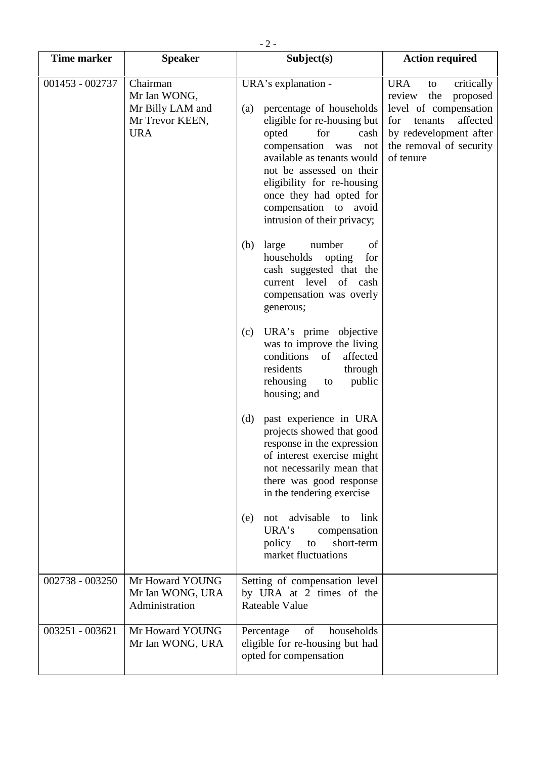| <b>Time marker</b> | <b>Speaker</b>                                                                | Subject(s)                                                                                                                                                                                                                                                                                                             | <b>Action required</b>                                                                                                                                                               |
|--------------------|-------------------------------------------------------------------------------|------------------------------------------------------------------------------------------------------------------------------------------------------------------------------------------------------------------------------------------------------------------------------------------------------------------------|--------------------------------------------------------------------------------------------------------------------------------------------------------------------------------------|
| 001453 - 002737    | Chairman<br>Mr Ian WONG,<br>Mr Billy LAM and<br>Mr Trevor KEEN,<br><b>URA</b> | URA's explanation -<br>percentage of households<br>(a)<br>eligible for re-housing but<br>opted<br>for<br>cash<br>compensation<br>not<br>was<br>available as tenants would<br>not be assessed on their<br>eligibility for re-housing<br>once they had opted for<br>compensation to avoid<br>intrusion of their privacy; | <b>URA</b><br>critically<br>to<br>the<br>review<br>proposed<br>level of compensation<br>tenants<br>affected<br>for<br>by redevelopment after<br>the removal of security<br>of tenure |
|                    |                                                                               | of<br>(b)<br>large<br>number<br>households<br>opting<br>for<br>cash suggested that the<br>current level of cash<br>compensation was overly<br>generous;                                                                                                                                                                |                                                                                                                                                                                      |
|                    |                                                                               | URA's prime objective<br>(c)<br>was to improve the living<br>conditions<br>affected<br>of<br>residents<br>through<br>rehousing<br>public<br>to<br>housing; and                                                                                                                                                         |                                                                                                                                                                                      |
|                    |                                                                               | (d)<br>past experience in URA<br>projects showed that good<br>response in the expression<br>of interest exercise might<br>not necessarily mean that<br>there was good response<br>in the tendering exercise                                                                                                            |                                                                                                                                                                                      |
|                    |                                                                               | advisable<br>link<br>to<br>(e)<br>not<br>URA's<br>compensation<br>short-term<br>policy<br>to<br>market fluctuations                                                                                                                                                                                                    |                                                                                                                                                                                      |
| 002738 - 003250    | Mr Howard YOUNG<br>Mr Ian WONG, URA<br>Administration                         | Setting of compensation level<br>by URA at 2 times of the<br><b>Rateable Value</b>                                                                                                                                                                                                                                     |                                                                                                                                                                                      |
| 003251 - 003621    | Mr Howard YOUNG<br>Mr Ian WONG, URA                                           | households<br>Percentage<br>of<br>eligible for re-housing but had<br>opted for compensation                                                                                                                                                                                                                            |                                                                                                                                                                                      |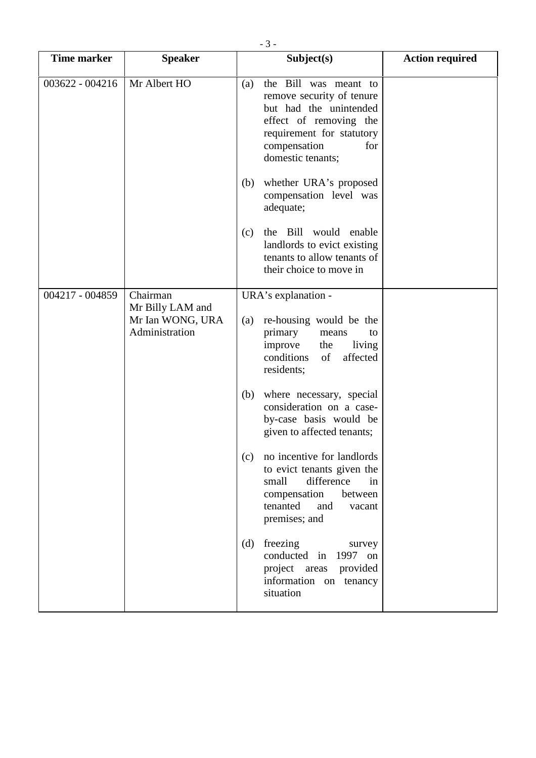| <b>Time marker</b>          | <b>Speaker</b>                                         | Subject(s) |                                                                                                                                                                                 | <b>Action required</b> |
|-----------------------------|--------------------------------------------------------|------------|---------------------------------------------------------------------------------------------------------------------------------------------------------------------------------|------------------------|
|                             |                                                        |            |                                                                                                                                                                                 |                        |
| 003622 - 004216             | Mr Albert HO                                           | (a)        | the Bill was meant to<br>remove security of tenure<br>but had the unintended<br>effect of removing the<br>requirement for statutory<br>compensation<br>for<br>domestic tenants; |                        |
|                             |                                                        | (b)        | whether URA's proposed<br>compensation level was<br>adequate;                                                                                                                   |                        |
|                             |                                                        | (c)        | the Bill<br>would enable<br>landlords to evict existing<br>tenants to allow tenants of<br>their choice to move in                                                               |                        |
| Chairman<br>004217 - 004859 |                                                        |            | URA's explanation -                                                                                                                                                             |                        |
|                             | Mr Billy LAM and<br>Mr Ian WONG, URA<br>Administration | (a)        | re-housing would be the<br>primary<br>means<br>to<br>improve<br>living<br>the<br>conditions<br>of<br>affected<br>residents;                                                     |                        |
|                             |                                                        | (b)        | where necessary, special<br>consideration on a case-<br>by-case basis would be<br>given to affected tenants;                                                                    |                        |
|                             |                                                        | (c)        | no incentive for landlords<br>to evict tenants given the<br>small<br>difference<br>in<br>compensation<br>between<br>tenanted<br>and<br>vacant<br>premises; and                  |                        |
|                             |                                                        | (d)        | freezing<br>survey<br>conducted in<br>1997 on<br>project areas<br>provided<br>information on tenancy<br>situation                                                               |                        |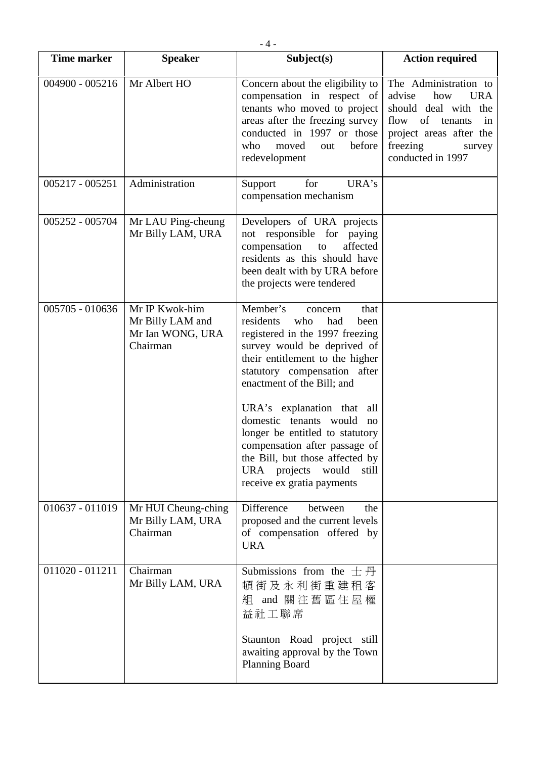| <b>Time marker</b> | <b>Speaker</b>                                                     | Subject(s)                                                                                                                                                                                                                                                                                                                                                                                                                                                       | <b>Action required</b>                                                                                                                                                      |
|--------------------|--------------------------------------------------------------------|------------------------------------------------------------------------------------------------------------------------------------------------------------------------------------------------------------------------------------------------------------------------------------------------------------------------------------------------------------------------------------------------------------------------------------------------------------------|-----------------------------------------------------------------------------------------------------------------------------------------------------------------------------|
| 004900 - 005216    | Mr Albert HO                                                       | Concern about the eligibility to<br>compensation in respect of<br>tenants who moved to project<br>areas after the freezing survey<br>conducted in 1997 or those<br>before<br>who<br>moved<br>out<br>redevelopment                                                                                                                                                                                                                                                | The Administration to<br>advise<br>how<br><b>URA</b><br>should deal with the<br>flow of tenants<br>in<br>project areas after the<br>freezing<br>survey<br>conducted in 1997 |
| 005217 - 005251    | Administration                                                     | for<br>URA's<br>Support<br>compensation mechanism                                                                                                                                                                                                                                                                                                                                                                                                                |                                                                                                                                                                             |
| 005252 - 005704    | Mr LAU Ping-cheung<br>Mr Billy LAM, URA                            | Developers of URA projects<br>not responsible for paying<br>compensation to<br>affected<br>residents as this should have<br>been dealt with by URA before<br>the projects were tendered                                                                                                                                                                                                                                                                          |                                                                                                                                                                             |
| 005705 - 010636    | Mr IP Kwok-him<br>Mr Billy LAM and<br>Mr Ian WONG, URA<br>Chairman | Member's<br>that<br>concern<br>residents<br>had<br>who<br>been<br>registered in the 1997 freezing<br>survey would be deprived of<br>their entitlement to the higher<br>statutory compensation after<br>enactment of the Bill; and<br>URA's explanation that all<br>domestic tenants would no<br>longer be entitled to statutory<br>compensation after passage of<br>the Bill, but those affected by<br>URA projects would<br>still<br>receive ex gratia payments |                                                                                                                                                                             |
| 010637 - 011019    | Mr HUI Cheung-ching<br>Mr Billy LAM, URA<br>Chairman               | Difference<br>between<br>the<br>proposed and the current levels<br>of compensation offered by<br><b>URA</b>                                                                                                                                                                                                                                                                                                                                                      |                                                                                                                                                                             |
| 011020 - 011211    | Chairman<br>Mr Billy LAM, URA                                      | Submissions from the $\pm \overline{\beta}$<br>頓街及永利街重建租客<br>組 and 關注舊區住屋權<br>益社工聯席<br>Staunton Road project still<br>awaiting approval by the Town<br><b>Planning Board</b>                                                                                                                                                                                                                                                                                     |                                                                                                                                                                             |